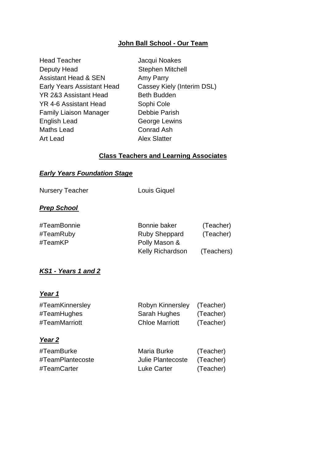# **John Ball School - Our Team**

| Jacqui Noakes              |
|----------------------------|
| <b>Stephen Mitchell</b>    |
| Amy Parry                  |
| Cassey Kiely (Interim DSL) |
| <b>Beth Budden</b>         |
| Sophi Cole                 |
| Debbie Parish              |
| George Lewins              |
| <b>Conrad Ash</b>          |
| <b>Alex Slatter</b>        |
|                            |

## **Class Teachers and Learning Associates**

## *Early Years Foundation Stage*

Nursery Teacher **Louis Giquel** 

# *Prep School*

| #TeamBonnie | Bonnie baker            | (Teacher)  |
|-------------|-------------------------|------------|
| #TeamRuby   | <b>Ruby Sheppard</b>    | (Teacher)  |
| #TeamKP     | Polly Mason &           |            |
|             | <b>Kelly Richardson</b> | (Teachers) |

# *KS1 - Years 1 and 2*

#### *Year 1*

| #TeamKinnersley | Robyn Kinnersley (Teacher) |           |
|-----------------|----------------------------|-----------|
| #TeamHughes     | Sarah Hughes               | (Teacher) |
| #TeamMarriott   | <b>Chloe Marriott</b>      | (Teacher) |

## *Year 2*

| #TeamBurke       | Maria Burke       | (Teacher) |
|------------------|-------------------|-----------|
| #TeamPlantecoste | Julie Plantecoste | (Teacher) |
| #TeamCarter      | Luke Carter       | (Teacher) |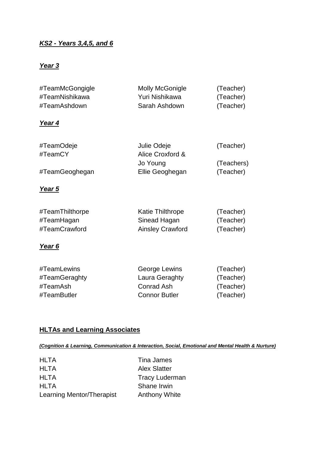# *KS2 - Years 3,4,5, and 6*

# *Year 3*

| #TeamMcGongigle | <b>Molly McGonigle</b> | (Teacher) |
|-----------------|------------------------|-----------|
| #TeamNishikawa  | Yuri Nishikawa         | (Teacher) |
| #TeamAshdown    | Sarah Ashdown          | (Teacher) |
|                 |                        |           |

#### *Year 4*

| #TeamOdeje     | Julie Odeje      | (Teacher)  |
|----------------|------------------|------------|
| #TeamCY        | Alice Croxford & |            |
|                | Jo Young         | (Teachers) |
| #TeamGeoghegan | Ellie Geoghegan  | (Teacher)  |

#### *Year 5*

| #TeamThilthorpe | Katie Thilthrope        | (Teacher) |
|-----------------|-------------------------|-----------|
| #TeamHagan      | Sinead Hagan            | (Teacher) |
| #TeamCrawford   | <b>Ainsley Crawford</b> | (Teacher) |

# *Year 6*

| #TeamLewins   | George Lewins        | (Teacher) |
|---------------|----------------------|-----------|
| #TeamGeraghty | Laura Geraghty       | (Teacher) |
| #TeamAsh      | Conrad Ash           | (Teacher) |
| #TeamButler   | <b>Connor Butler</b> | (Teacher) |

## **HLTAs and Learning Associates**

*(Cognition & Learning, Communication & Interaction, Social, Emotional and Mental Health & Nurture)*

| HLTA                      | Tina James           |
|---------------------------|----------------------|
| HLTA                      | <b>Alex Slatter</b>  |
| HLTA                      | <b>Tracy Luderma</b> |
| HLTA                      | Shane Irwin          |
| Learning Mentor/Therapist | <b>Anthony White</b> |
|                           |                      |

Tina James **Alex Slatter** Tracy Luderman Shane Irwin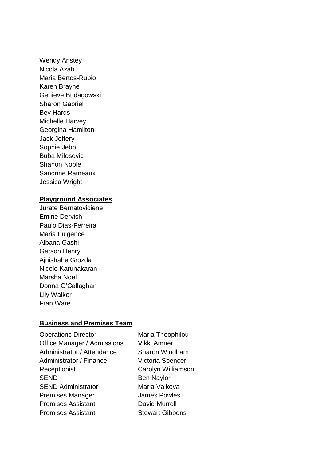Wendy Anstey Nicola Azab Maria Bertos-Rubio Karen Brayne Genieve Budagowski Sharon Gabriel Bev Hards Michelle Harvey Georgina Hamilton Jack Jeffery Sophie Jebb Buba Milosevic Shanon Noble Sandrine Rameaux Jessica Wright

#### **Playground Associates**

Jurate Bernatoviciene Emine Dervish Paulo Dias-Ferreira Maria Fulgence Albana Gashi Gerson Henry Ajnishahe Grozda Nicole Karunakaran Marsha Noel Donna O'Callaghan Lily Walker Fran Ware

#### **Business and Premises Team**

**Operations Director** Maria Theophilou Office Manager / Admissions Vikki Amner Administrator / Attendance Sharon Windham Administrator / Finance Victoria Spencer Receptionist **Carolyn Williamson** SEND Ben Naylor SEND Administrator Maria Valkova Premises Manager **James Powles** Premises Assistant David Murrell **Premises Assistant Stewart Gibbons**